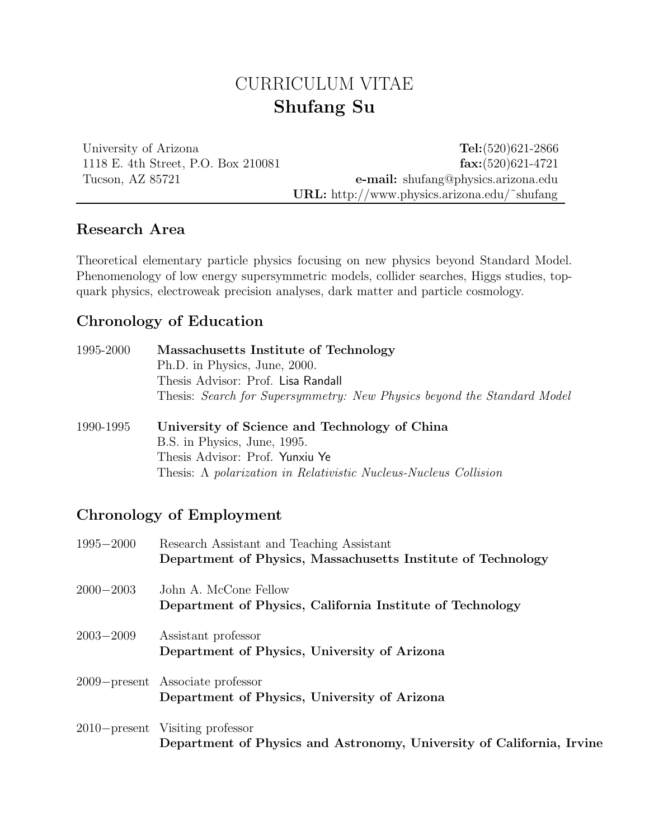# CURRICULUM VITAE Shufang Su

University of Arizona Tel: (520)621-2866 1118 E. 4th Street, P.O. Box 210081 fax:(520)621-4721 Tucson, AZ 85721 e-mail: shufang@physics.arizona.edu URL: http://www.physics.arizona.edu/˜shufang

### Research Area

Theoretical elementary particle physics focusing on new physics beyond Standard Model. Phenomenology of low energy supersymmetric models, collider searches, Higgs studies, topquark physics, electroweak precision analyses, dark matter and particle cosmology.

### Chronology of Education

| 1995-2000 | Massachusetts Institute of Technology<br>Ph.D. in Physics, June, 2000.<br>Thesis Advisor: Prof. Lisa Randall                                |
|-----------|---------------------------------------------------------------------------------------------------------------------------------------------|
| 1990-1995 | Thesis: Search for Supersymmetry: New Physics beyond the Standard Model<br>University of Science and Technology of China                    |
|           | B.S. in Physics, June, 1995.<br>Thesis Advisor: Prof. Yunxiu Ye<br>Thesis: $\Lambda$ polarization in Relativistic Nucleus-Nucleus Collision |

# Chronology of Employment

| $1995 - 2000$ | Research Assistant and Teaching Assistant<br>Department of Physics, Massachusetts Institute of Technology |
|---------------|-----------------------------------------------------------------------------------------------------------|
| $2000 - 2003$ | John A. McCone Fellow<br>Department of Physics, California Institute of Technology                        |
| $2003 - 2009$ | Assistant professor<br>Department of Physics, University of Arizona                                       |
|               | 2009–present Associate professor<br>Department of Physics, University of Arizona                          |
|               | 2010–present Visiting professor<br>Department of Physics and Astronomy, University of California, Irvine  |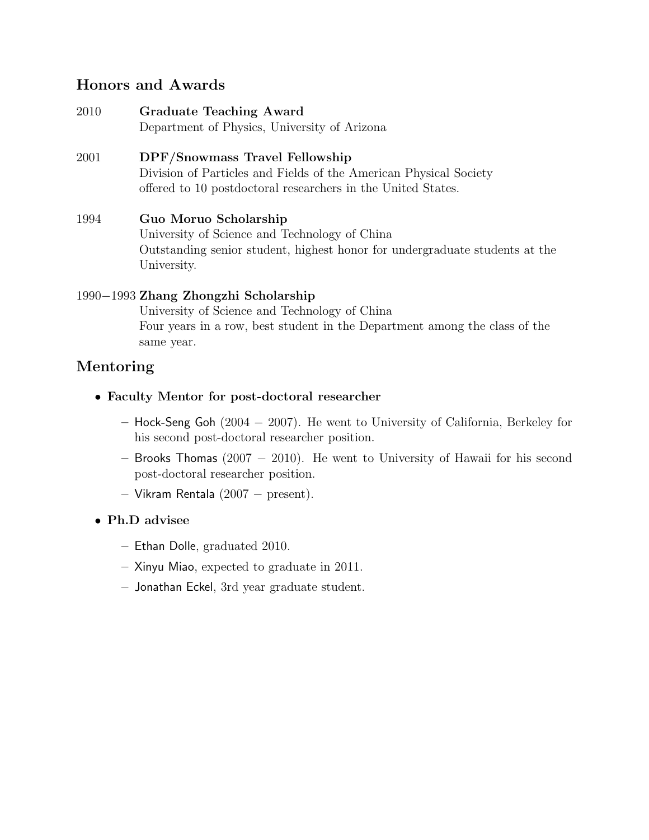### Honors and Awards

- 2010 Graduate Teaching Award Department of Physics, University of Arizona
- 2001 DPF/Snowmass Travel Fellowship Division of Particles and Fields of the American Physical Society offered to 10 postdoctoral researchers in the United States.

#### 1994 Guo Moruo Scholarship University of Science and Technology of China Outstanding senior student, highest honor for undergraduate students at the University.

#### 1990−1993 Zhang Zhongzhi Scholarship

University of Science and Technology of China Four years in a row, best student in the Department among the class of the same year.

# Mentoring

- Faculty Mentor for post-doctoral researcher
	- Hock-Seng Goh (2004 − 2007). He went to University of California, Berkeley for his second post-doctoral researcher position.
	- Brooks Thomas (2007 − 2010). He went to University of Hawaii for his second post-doctoral researcher position.
	- Vikram Rentala (2007 − present).
- Ph.D advisee
	- Ethan Dolle, graduated 2010.
	- Xinyu Miao, expected to graduate in 2011.
	- Jonathan Eckel, 3rd year graduate student.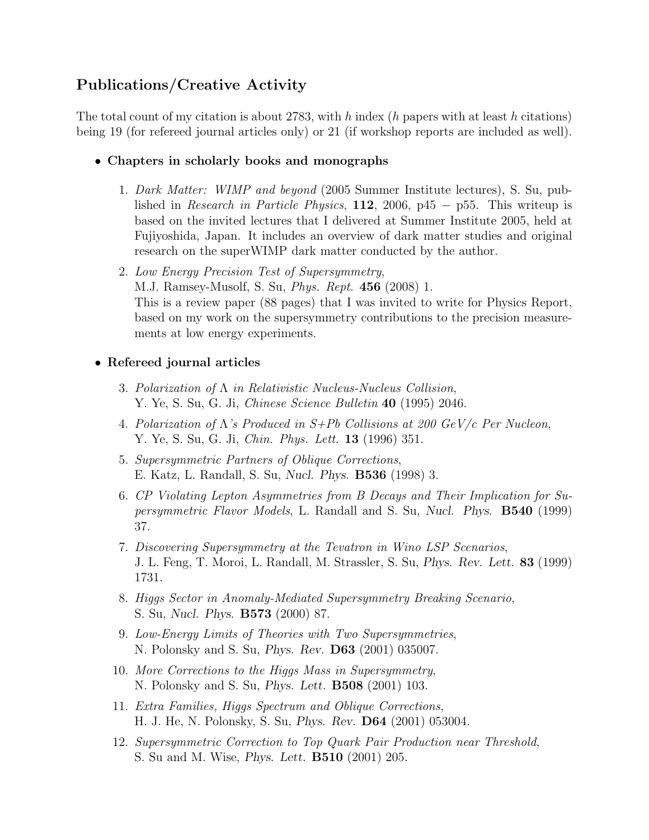# Publications/Creative Activity

The total count of my citation is about 2783, with h index (h papers with at least h citations) being 19 (for refereed journal articles only) or 21 (if workshop reports are included as well).

- Chapters in scholarly books and monographs
	- 1. *Dark Matter: WIMP and beyond* (2005 Summer Institute lectures), S. Su, published in *Research in Particle Physics*, 112, 2006, p45 − p55. This writeup is based on the invited lectures that I delivered at Summer Institute 2005, held at Fujiyoshida, Japan. It includes an overview of dark matter studies and original research on the superWIMP dark matter conducted by the author.
	- 2. *Low Energy Precision Test of Supersymmetry*, M.J. Ramsey-Musolf, S. Su, *Phys. Rept.* 456 (2008) 1. This is a review paper (88 pages) that I was invited to write for Physics Report, based on my work on the supersymmetry contributions to the precision measurements at low energy experiments.

#### • Refereed journal articles

- 3. *Polarization of* Λ *in Relativistic Nucleus-Nucleus Collision*, Y. Ye, S. Su, G. Ji, *Chinese Science Bulletin* 40 (1995) 2046.
- 4. *Polarization of* Λ*'s Produced in S+Pb Collisions at 200 GeV/c Per Nucleon*, Y. Ye, S. Su, G. Ji, *Chin. Phys. Lett.* 13 (1996) 351.
- 5. *Supersymmetric Partners of Oblique Corrections*, E. Katz, L. Randall, S. Su, Nucl. Phys. B536 (1998) 3.
- 6. *CP Violating Lepton Asymmetries from B Decays and Their Implication for Supersymmetric Flavor Models*, L. Randall and S. Su, Nucl. Phys. B540 (1999) 37.
- 7. *Discovering Supersymmetry at the Tevatron in Wino LSP Scenarios*, J. L. Feng, T. Moroi, L. Randall, M. Strassler, S. Su, Phys. Rev. Lett. 83 (1999) 1731.
- 8. *Higgs Sector in Anomaly-Mediated Supersymmetry Breaking Scenario*, S. Su, Nucl. Phys. B573 (2000) 87.
- 9. *Low-Energy Limits of Theories with Two Supersymmetries*, N. Polonsky and S. Su, Phys. Rev. D63 (2001) 035007.
- 10. *More Corrections to the Higgs Mass in Supersymmetry*, N. Polonsky and S. Su, Phys. Lett. B508 (2001) 103.
- 11. *Extra Families, Higgs Spectrum and Oblique Corrections*, H. J. He, N. Polonsky, S. Su, Phys. Rev. D64 (2001) 053004.
- 12. *Supersymmetric Correction to Top Quark Pair Production near Threshold*, S. Su and M. Wise, Phys. Lett. B510 (2001) 205.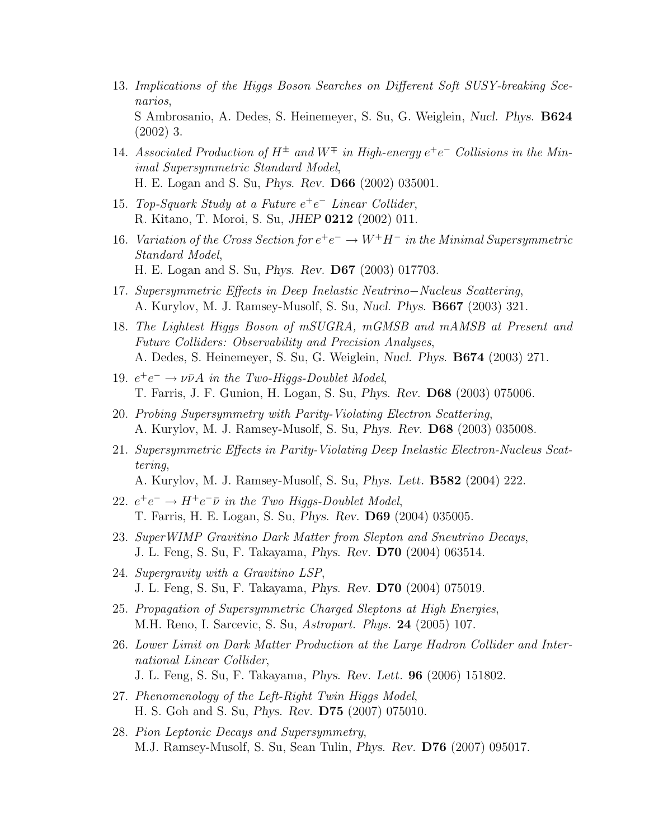- 13. *Implications of the Higgs Boson Searches on Different Soft SUSY-breaking Scenarios*, S Ambrosanio, A. Dedes, S. Heinemeyer, S. Su, G. Weiglein, Nucl. Phys. B624 (2002) 3.
- 14. *Associated Production of*  $H^{\pm}$  *and*  $W^{\mp}$  *in High-energy*  $e^+e^-$  *Collisions in the Minimal Supersymmetric Standard Model*, H. E. Logan and S. Su, Phys. Rev. D66 (2002) 035001.
- 15. *Top-Squark Study at a Future* e +e <sup>−</sup> *Linear Collider*, R. Kitano, T. Moroi, S. Su, JHEP 0212 (2002) 011.
- 16. *Variation of the Cross Section for*  $e^+e^- \to W^+H^-$  *in the Minimal Supersymmetric Standard Model*, H. E. Logan and S. Su, Phys. Rev. D67 (2003) 017703.
- 17. *Supersymmetric Effects in Deep Inelastic Neutrino*−*Nucleus Scattering*, A. Kurylov, M. J. Ramsey-Musolf, S. Su, Nucl. Phys. B667 (2003) 321.
- 18. *The Lightest Higgs Boson of mSUGRA, mGMSB and mAMSB at Present and Future Colliders: Observability and Precision Analyses*, A. Dedes, S. Heinemeyer, S. Su, G. Weiglein, Nucl. Phys. B674 (2003) 271.
- 19.  $e^+e^- \rightarrow \nu \bar{\nu} A$  *in the Two-Higgs-Doublet Model*, T. Farris, J. F. Gunion, H. Logan, S. Su, Phys. Rev. D68 (2003) 075006.
- 20. *Probing Supersymmetry with Parity-Violating Electron Scattering*, A. Kurylov, M. J. Ramsey-Musolf, S. Su, Phys. Rev. D68 (2003) 035008.
- 21. *Supersymmetric Effects in Parity-Violating Deep Inelastic Electron-Nucleus Scattering*,
	- A. Kurylov, M. J. Ramsey-Musolf, S. Su, Phys. Lett. B582 (2004) 222.
- 22.  $e^+e^- \rightarrow H^+e^-\bar{\nu}$  in the Two Higgs-Doublet Model, T. Farris, H. E. Logan, S. Su, Phys. Rev. D69 (2004) 035005.
- 23. *SuperWIMP Gravitino Dark Matter from Slepton and Sneutrino Decays*, J. L. Feng, S. Su, F. Takayama, Phys. Rev. D70 (2004) 063514.
- 24. *Supergravity with a Gravitino LSP*, J. L. Feng, S. Su, F. Takayama, Phys. Rev. D70 (2004) 075019.
- 25. *Propagation of Supersymmetric Charged Sleptons at High Energies*, M.H. Reno, I. Sarcevic, S. Su, *Astropart. Phys.* 24 (2005) 107.
- 26. *Lower Limit on Dark Matter Production at the Large Hadron Collider and International Linear Collider*, J. L. Feng, S. Su, F. Takayama, Phys. Rev. Lett. 96 (2006) 151802.
- 27. *Phenomenology of the Left-Right Twin Higgs Model*, H. S. Goh and S. Su, Phys. Rev. D75 (2007) 075010.
- 28. *Pion Leptonic Decays and Supersymmetry*, M.J. Ramsey-Musolf, S. Su, Sean Tulin, Phys. Rev. D76 (2007) 095017.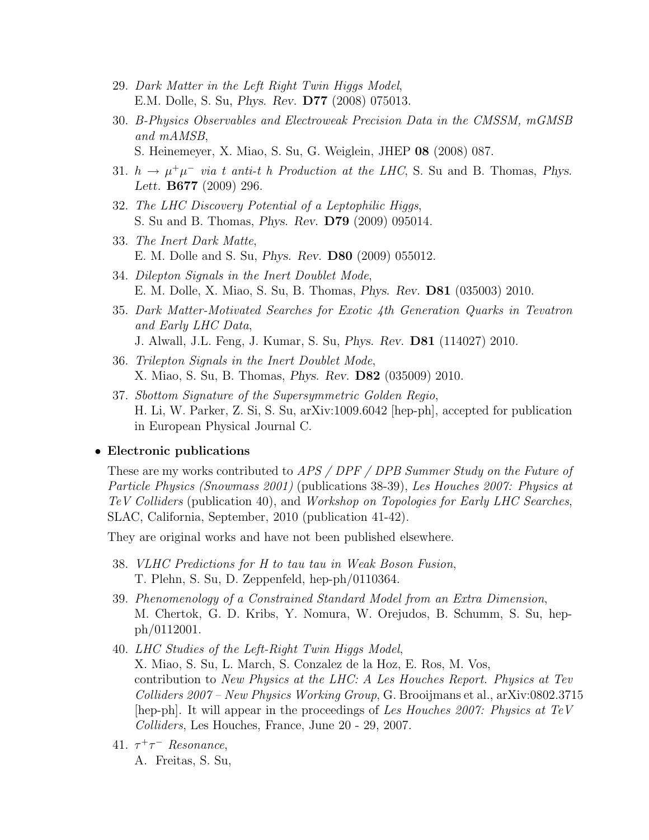- 29. *Dark Matter in the Left Right Twin Higgs Model*, E.M. Dolle, S. Su, Phys. Rev. D77 (2008) 075013.
- 30. *B-Physics Observables and Electroweak Precision Data in the CMSSM, mGMSB and mAMSB*, S. Heinemeyer, X. Miao, S. Su, G. Weiglein, JHEP 08 (2008) 087.
- 31.  $h \to \mu^+\mu^-$  *via t anti-t h Production at the LHC*, S. Su and B. Thomas, *Phys.* Lett. B677 (2009) 296.
- 32. *The LHC Discovery Potential of a Leptophilic Higgs*, S. Su and B. Thomas, Phys. Rev. D79 (2009) 095014.
- 33. *The Inert Dark Matte*, E. M. Dolle and S. Su, Phys. Rev. D80 (2009) 055012.
- 34. *Dilepton Signals in the Inert Doublet Mode*, E. M. Dolle, X. Miao, S. Su, B. Thomas, Phys. Rev. D81 (035003) 2010.
- 35. *Dark Matter-Motivated Searches for Exotic 4th Generation Quarks in Tevatron and Early LHC Data*, J. Alwall, J.L. Feng, J. Kumar, S. Su, Phys. Rev. D81 (114027) 2010.
- 36. *Trilepton Signals in the Inert Doublet Mode*, X. Miao, S. Su, B. Thomas, Phys. Rev. D82 (035009) 2010.
- 37. *Sbottom Signature of the Supersymmetric Golden Regio*, H. Li, W. Parker, Z. Si, S. Su, arXiv:1009.6042 [hep-ph], accepted for publication in European Physical Journal C.

#### • Electronic publications

These are my works contributed to *APS / DPF / DPB Summer Study on the Future of Particle Physics (Snowmass 2001)* (publications 38-39), *Les Houches 2007: Physics at TeV Colliders* (publication 40), and *Workshop on Topologies for Early LHC Searches*, SLAC, California, September, 2010 (publication 41-42).

They are original works and have not been published elsewhere.

- 38. *VLHC Predictions for H to tau tau in Weak Boson Fusion*, T. Plehn, S. Su, D. Zeppenfeld, hep-ph/0110364.
- 39. *Phenomenology of a Constrained Standard Model from an Extra Dimension*, M. Chertok, G. D. Kribs, Y. Nomura, W. Orejudos, B. Schumm, S. Su, hepph/0112001.
- 40. *LHC Studies of the Left-Right Twin Higgs Model*, X. Miao, S. Su, L. March, S. Conzalez de la Hoz, E. Ros, M. Vos, contribution to *New Physics at the LHC: A Les Houches Report. Physics at Tev Colliders 2007 – New Physics Working Group*, G. Brooijmans et al., arXiv:0802.3715 [hep-ph]. It will appear in the proceedings of *Les Houches 2007: Physics at TeV Colliders*, Les Houches, France, June 20 - 29, 2007.
- 41.  $\tau^+\tau^-$  *Resonance*, A. Freitas, S. Su,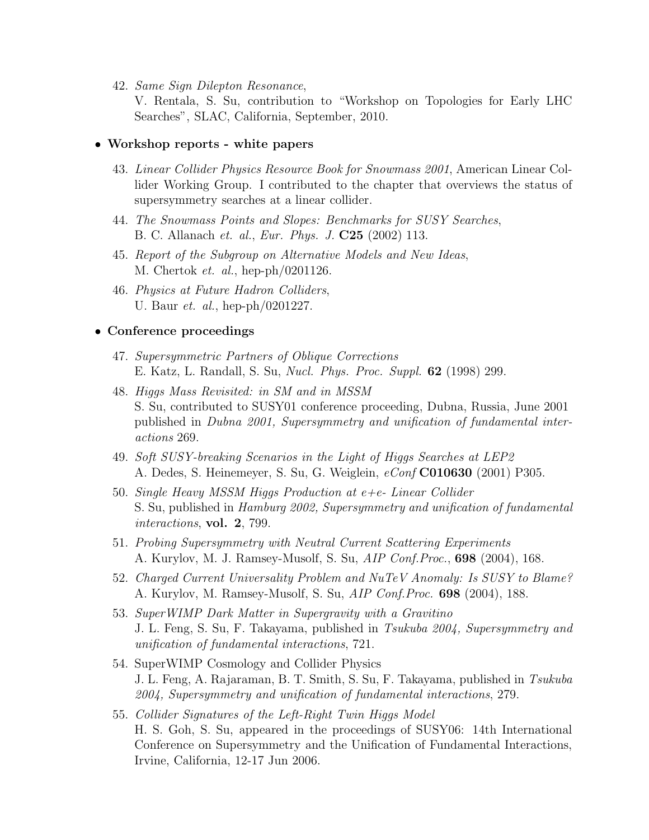42. *Same Sign Dilepton Resonance*,

V. Rentala, S. Su, contribution to "Workshop on Topologies for Early LHC Searches", SLAC, California, September, 2010.

#### • Workshop reports - white papers

- 43. *Linear Collider Physics Resource Book for Snowmass 2001*, American Linear Collider Working Group. I contributed to the chapter that overviews the status of supersymmetry searches at a linear collider.
- 44. *The Snowmass Points and Slopes: Benchmarks for SUSY Searches*, B. C. Allanach *et. al.*, *Eur. Phys. J.* C25 (2002) 113.
- 45. *Report of the Subgroup on Alternative Models and New Ideas*, M. Chertok *et. al.*, hep-ph/0201126.
- 46. *Physics at Future Hadron Colliders*, U. Baur *et. al.*, hep-ph/0201227.

#### • Conference proceedings

- 47. *Supersymmetric Partners of Oblique Corrections* E. Katz, L. Randall, S. Su, *Nucl. Phys. Proc. Suppl.* 62 (1998) 299.
- 48. *Higgs Mass Revisited: in SM and in MSSM* S. Su, contributed to SUSY01 conference proceeding, Dubna, Russia, June 2001 published in *Dubna 2001, Supersymmetry and unification of fundamental interactions* 269.
- 49. *Soft SUSY-breaking Scenarios in the Light of Higgs Searches at LEP2* A. Dedes, S. Heinemeyer, S. Su, G. Weiglein, *eConf* C010630 (2001) P305.
- 50. *Single Heavy MSSM Higgs Production at e+e- Linear Collider* S. Su, published in *Hamburg 2002, Supersymmetry and unification of fundamental interactions*, vol. 2, 799.
- 51. *Probing Supersymmetry with Neutral Current Scattering Experiments* A. Kurylov, M. J. Ramsey-Musolf, S. Su, *AIP Conf.Proc.*, 698 (2004), 168.
- 52. *Charged Current Universality Problem and NuTeV Anomaly: Is SUSY to Blame?* A. Kurylov, M. Ramsey-Musolf, S. Su, *AIP Conf.Proc.* 698 (2004), 188.
- 53. *SuperWIMP Dark Matter in Supergravity with a Gravitino* J. L. Feng, S. Su, F. Takayama, published in *Tsukuba 2004, Supersymmetry and unification of fundamental interactions*, 721.
- 54. SuperWIMP Cosmology and Collider Physics J. L. Feng, A. Rajaraman, B. T. Smith, S. Su, F. Takayama, published in *Tsukuba 2004, Supersymmetry and unification of fundamental interactions*, 279.
- 55. *Collider Signatures of the Left-Right Twin Higgs Model* H. S. Goh, S. Su, appeared in the proceedings of SUSY06: 14th International Conference on Supersymmetry and the Unification of Fundamental Interactions, Irvine, California, 12-17 Jun 2006.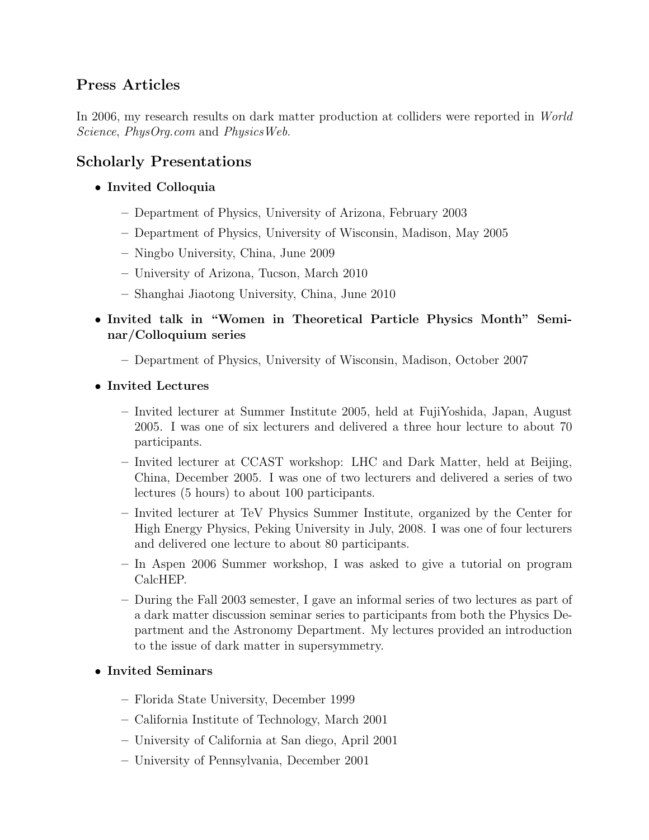# Press Articles

In 2006, my research results on dark matter production at colliders were reported in *World Science*, *PhysOrg.com* and *PhysicsWeb*.

# Scholarly Presentations

- Invited Colloquia
	- Department of Physics, University of Arizona, February 2003
	- Department of Physics, University of Wisconsin, Madison, May 2005
	- Ningbo University, China, June 2009
	- University of Arizona, Tucson, March 2010
	- Shanghai Jiaotong University, China, June 2010
- Invited talk in "Women in Theoretical Particle Physics Month" Seminar/Colloquium series
	- Department of Physics, University of Wisconsin, Madison, October 2007
- Invited Lectures
	- Invited lecturer at Summer Institute 2005, held at FujiYoshida, Japan, August 2005. I was one of six lecturers and delivered a three hour lecture to about 70 participants.
	- Invited lecturer at CCAST workshop: LHC and Dark Matter, held at Beijing, China, December 2005. I was one of two lecturers and delivered a series of two lectures (5 hours) to about 100 participants.
	- Invited lecturer at TeV Physics Summer Institute, organized by the Center for High Energy Physics, Peking University in July, 2008. I was one of four lecturers and delivered one lecture to about 80 participants.
	- In Aspen 2006 Summer workshop, I was asked to give a tutorial on program CalcHEP.
	- During the Fall 2003 semester, I gave an informal series of two lectures as part of a dark matter discussion seminar series to participants from both the Physics Department and the Astronomy Department. My lectures provided an introduction to the issue of dark matter in supersymmetry.

#### • Invited Seminars

- Florida State University, December 1999
- California Institute of Technology, March 2001
- University of California at San diego, April 2001
- University of Pennsylvania, December 2001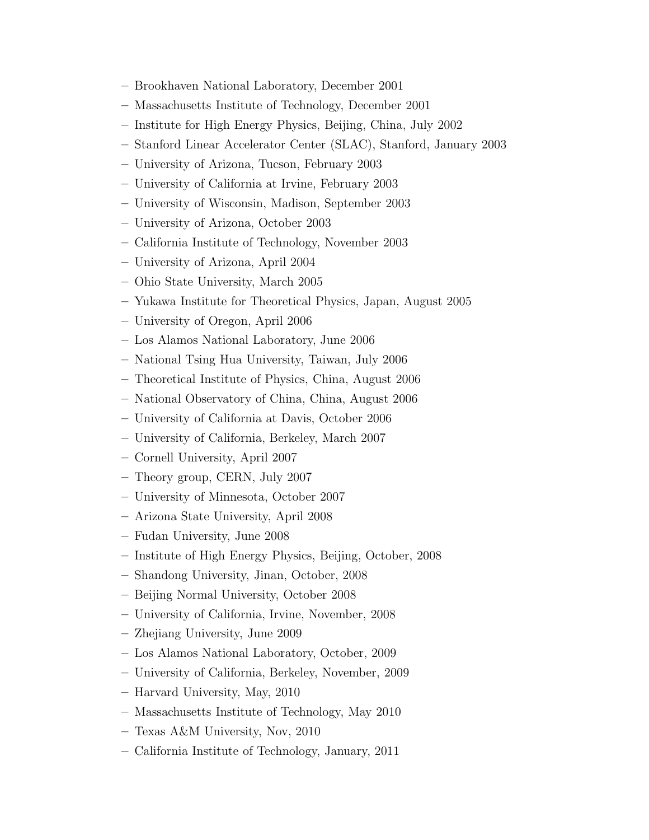- Brookhaven National Laboratory, December 2001
- Massachusetts Institute of Technology, December 2001
- Institute for High Energy Physics, Beijing, China, July 2002
- Stanford Linear Accelerator Center (SLAC), Stanford, January 2003
- University of Arizona, Tucson, February 2003
- University of California at Irvine, February 2003
- University of Wisconsin, Madison, September 2003
- University of Arizona, October 2003
- California Institute of Technology, November 2003
- University of Arizona, April 2004
- Ohio State University, March 2005
- Yukawa Institute for Theoretical Physics, Japan, August 2005
- University of Oregon, April 2006
- Los Alamos National Laboratory, June 2006
- National Tsing Hua University, Taiwan, July 2006
- Theoretical Institute of Physics, China, August 2006
- National Observatory of China, China, August 2006
- University of California at Davis, October 2006
- University of California, Berkeley, March 2007
- Cornell University, April 2007
- Theory group, CERN, July 2007
- University of Minnesota, October 2007
- Arizona State University, April 2008
- Fudan University, June 2008
- Institute of High Energy Physics, Beijing, October, 2008
- Shandong University, Jinan, October, 2008
- Beijing Normal University, October 2008
- University of California, Irvine, November, 2008
- Zhejiang University, June 2009
- Los Alamos National Laboratory, October, 2009
- University of California, Berkeley, November, 2009
- Harvard University, May, 2010
- Massachusetts Institute of Technology, May 2010
- Texas A&M University, Nov, 2010
- California Institute of Technology, January, 2011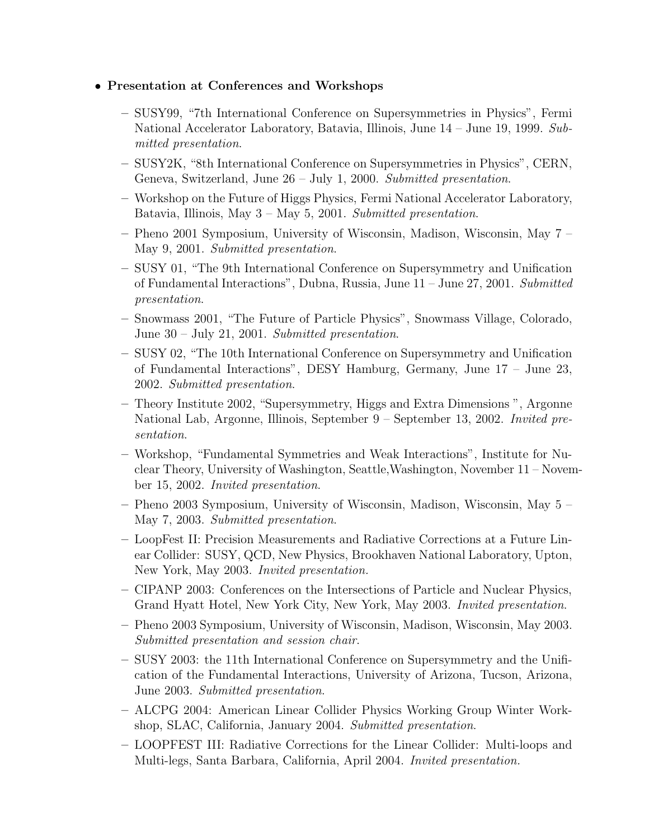#### • Presentation at Conferences and Workshops

- SUSY99, "7th International Conference on Supersymmetries in Physics", Fermi National Accelerator Laboratory, Batavia, Illinois, June 14 – June 19, 1999. *Submitted presentation*.
- SUSY2K, "8th International Conference on Supersymmetries in Physics", CERN, Geneva, Switzerland, June 26 – July 1, 2000. *Submitted presentation*.
- Workshop on the Future of Higgs Physics, Fermi National Accelerator Laboratory, Batavia, Illinois, May 3 – May 5, 2001. *Submitted presentation*.
- Pheno 2001 Symposium, University of Wisconsin, Madison, Wisconsin, May 7 May 9, 2001. *Submitted presentation*.
- SUSY 01, "The 9th International Conference on Supersymmetry and Unification of Fundamental Interactions", Dubna, Russia, June 11 – June 27, 2001. *Submitted presentation*.
- Snowmass 2001, "The Future of Particle Physics", Snowmass Village, Colorado, June 30 – July 21, 2001. *Submitted presentation*.
- SUSY 02, "The 10th International Conference on Supersymmetry and Unification of Fundamental Interactions", DESY Hamburg, Germany, June 17 – June 23, 2002. *Submitted presentation*.
- Theory Institute 2002, "Supersymmetry, Higgs and Extra Dimensions ", Argonne National Lab, Argonne, Illinois, September 9 – September 13, 2002. *Invited presentation*.
- Workshop, "Fundamental Symmetries and Weak Interactions", Institute for Nuclear Theory, University of Washington, Seattle,Washington, November 11 – November 15, 2002. *Invited presentation*.
- Pheno 2003 Symposium, University of Wisconsin, Madison, Wisconsin, May 5 May 7, 2003. *Submitted presentation*.
- LoopFest II: Precision Measurements and Radiative Corrections at a Future Linear Collider: SUSY, QCD, New Physics, Brookhaven National Laboratory, Upton, New York, May 2003. *Invited presentation.*
- CIPANP 2003: Conferences on the Intersections of Particle and Nuclear Physics, Grand Hyatt Hotel, New York City, New York, May 2003. *Invited presentation*.
- Pheno 2003 Symposium, University of Wisconsin, Madison, Wisconsin, May 2003. *Submitted presentation and session chair*.
- SUSY 2003: the 11th International Conference on Supersymmetry and the Unification of the Fundamental Interactions, University of Arizona, Tucson, Arizona, June 2003. *Submitted presentation*.
- ALCPG 2004: American Linear Collider Physics Working Group Winter Workshop, SLAC, California, January 2004. *Submitted presentation*.
- LOOPFEST III: Radiative Corrections for the Linear Collider: Multi-loops and Multi-legs, Santa Barbara, California, April 2004. *Invited presentation.*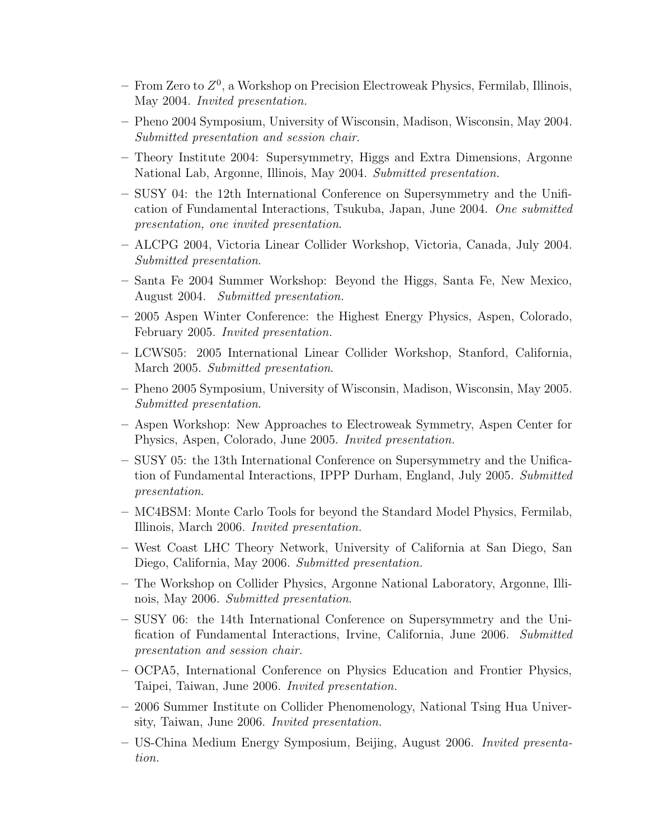- $-$  From Zero to  $Z<sup>0</sup>$ , a Workshop on Precision Electroweak Physics, Fermilab, Illinois, May 2004. *Invited presentation.*
- Pheno 2004 Symposium, University of Wisconsin, Madison, Wisconsin, May 2004. *Submitted presentation and session chair*.
- Theory Institute 2004: Supersymmetry, Higgs and Extra Dimensions, Argonne National Lab, Argonne, Illinois, May 2004. *Submitted presentation.*
- SUSY 04: the 12th International Conference on Supersymmetry and the Unification of Fundamental Interactions, Tsukuba, Japan, June 2004. *One submitted presentation, one invited presentation*.
- ALCPG 2004, Victoria Linear Collider Workshop, Victoria, Canada, July 2004. *Submitted presentation*.
- Santa Fe 2004 Summer Workshop: Beyond the Higgs, Santa Fe, New Mexico, August 2004. *Submitted presentation.*
- 2005 Aspen Winter Conference: the Highest Energy Physics, Aspen, Colorado, February 2005. *Invited presentation.*
- LCWS05: 2005 International Linear Collider Workshop, Stanford, California, March 2005. *Submitted presentation*.
- Pheno 2005 Symposium, University of Wisconsin, Madison, Wisconsin, May 2005. *Submitted presentation*.
- Aspen Workshop: New Approaches to Electroweak Symmetry, Aspen Center for Physics, Aspen, Colorado, June 2005. *Invited presentation.*
- SUSY 05: the 13th International Conference on Supersymmetry and the Unification of Fundamental Interactions, IPPP Durham, England, July 2005. *Submitted presentation*.
- MC4BSM: Monte Carlo Tools for beyond the Standard Model Physics, Fermilab, Illinois, March 2006. *Invited presentation.*
- West Coast LHC Theory Network, University of California at San Diego, San Diego, California, May 2006. *Submitted presentation.*
- The Workshop on Collider Physics, Argonne National Laboratory, Argonne, Illinois, May 2006. *Submitted presentation*.
- SUSY 06: the 14th International Conference on Supersymmetry and the Unification of Fundamental Interactions, Irvine, California, June 2006. *Submitted presentation and session chair*.
- OCPA5, International Conference on Physics Education and Frontier Physics, Taipei, Taiwan, June 2006. *Invited presentation.*
- 2006 Summer Institute on Collider Phenomenology, National Tsing Hua University, Taiwan, June 2006. *Invited presentation.*
- US-China Medium Energy Symposium, Beijing, August 2006. *Invited presentation.*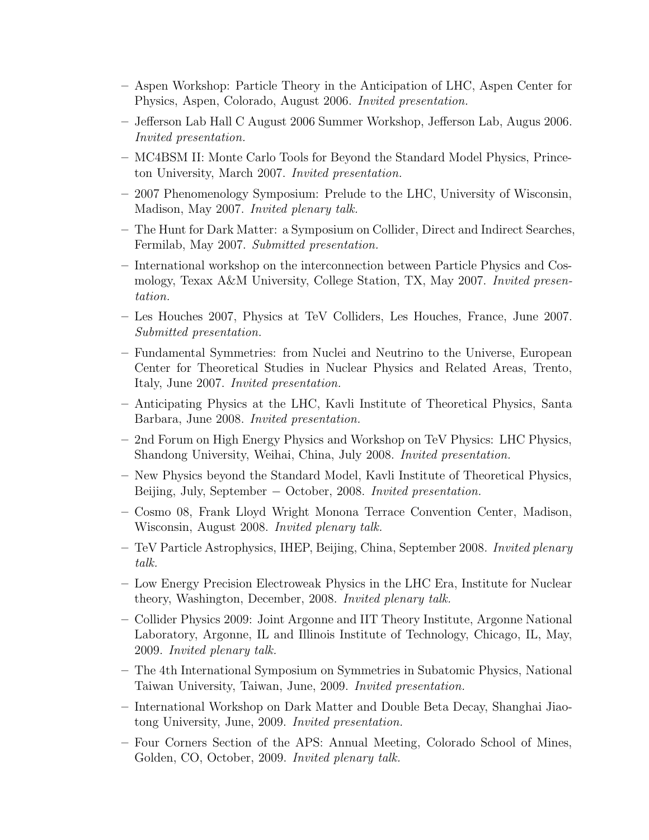- Aspen Workshop: Particle Theory in the Anticipation of LHC, Aspen Center for Physics, Aspen, Colorado, August 2006. *Invited presentation.*
- Jefferson Lab Hall C August 2006 Summer Workshop, Jefferson Lab, Augus 2006. *Invited presentation.*
- MC4BSM II: Monte Carlo Tools for Beyond the Standard Model Physics, Princeton University, March 2007. *Invited presentation.*
- 2007 Phenomenology Symposium: Prelude to the LHC, University of Wisconsin, Madison, May 2007. *Invited plenary talk.*
- The Hunt for Dark Matter: a Symposium on Collider, Direct and Indirect Searches, Fermilab, May 2007. *Submitted presentation.*
- International workshop on the interconnection between Particle Physics and Cosmology, Texax A&M University, College Station, TX, May 2007. *Invited presentation.*
- Les Houches 2007, Physics at TeV Colliders, Les Houches, France, June 2007. *Submitted presentation.*
- Fundamental Symmetries: from Nuclei and Neutrino to the Universe, European Center for Theoretical Studies in Nuclear Physics and Related Areas, Trento, Italy, June 2007. *Invited presentation.*
- Anticipating Physics at the LHC, Kavli Institute of Theoretical Physics, Santa Barbara, June 2008. *Invited presentation.*
- 2nd Forum on High Energy Physics and Workshop on TeV Physics: LHC Physics, Shandong University, Weihai, China, July 2008. *Invited presentation.*
- New Physics beyond the Standard Model, Kavli Institute of Theoretical Physics, Beijing, July, September − October, 2008. *Invited presentation.*
- Cosmo 08, Frank Lloyd Wright Monona Terrace Convention Center, Madison, Wisconsin, August 2008. *Invited plenary talk.*
- TeV Particle Astrophysics, IHEP, Beijing, China, September 2008. *Invited plenary talk.*
- Low Energy Precision Electroweak Physics in the LHC Era, Institute for Nuclear theory, Washington, December, 2008. *Invited plenary talk.*
- Collider Physics 2009: Joint Argonne and IIT Theory Institute, Argonne National Laboratory, Argonne, IL and Illinois Institute of Technology, Chicago, IL, May, 2009. *Invited plenary talk.*
- The 4th International Symposium on Symmetries in Subatomic Physics, National Taiwan University, Taiwan, June, 2009. *Invited presentation.*
- International Workshop on Dark Matter and Double Beta Decay, Shanghai Jiaotong University, June, 2009. *Invited presentation.*
- Four Corners Section of the APS: Annual Meeting, Colorado School of Mines, Golden, CO, October, 2009. *Invited plenary talk.*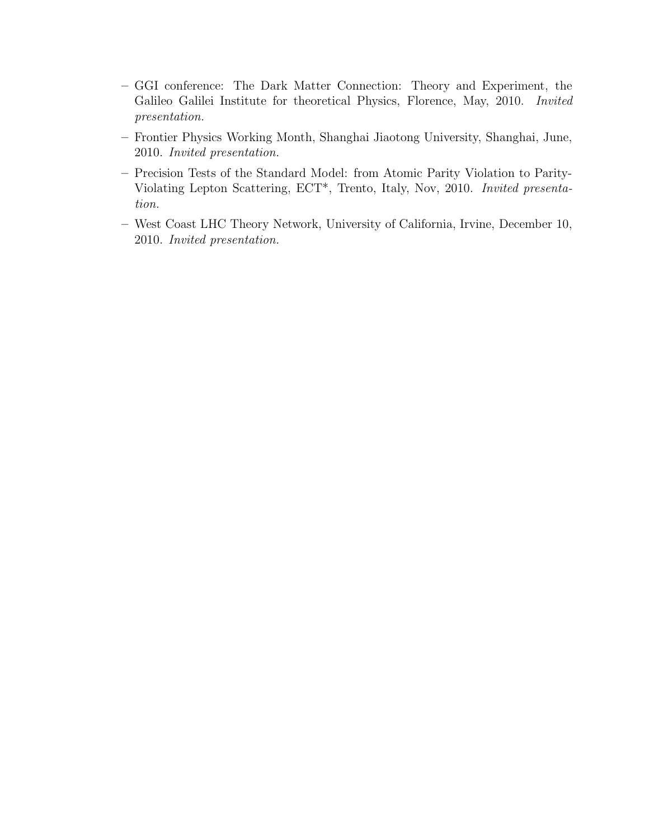- GGI conference: The Dark Matter Connection: Theory and Experiment, the Galileo Galilei Institute for theoretical Physics, Florence, May, 2010. *Invited presentation.*
- Frontier Physics Working Month, Shanghai Jiaotong University, Shanghai, June, 2010. *Invited presentation.*
- Precision Tests of the Standard Model: from Atomic Parity Violation to Parity-Violating Lepton Scattering, ECT\*, Trento, Italy, Nov, 2010. *Invited presentation.*
- West Coast LHC Theory Network, University of California, Irvine, December 10, 2010. *Invited presentation.*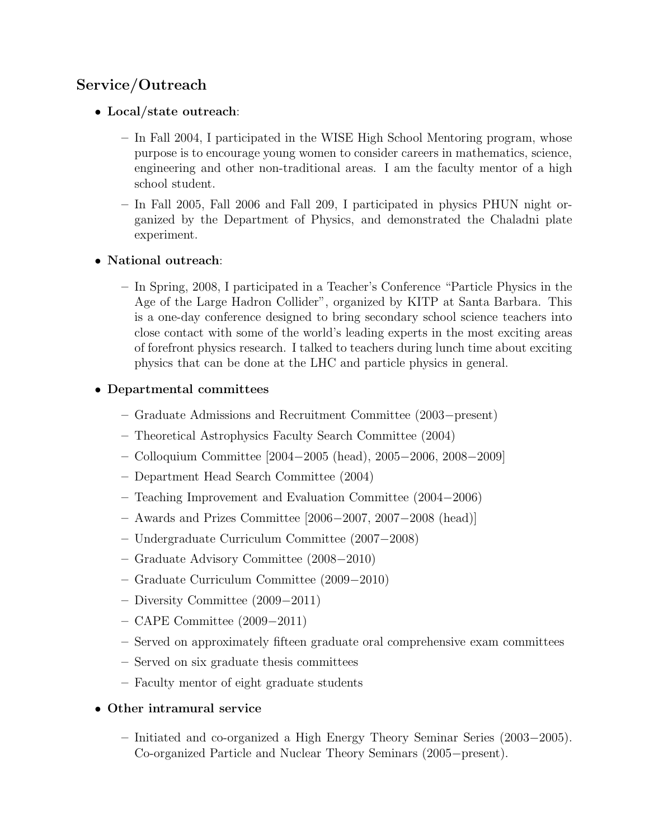# Service/Outreach

#### • Local/state outreach:

- In Fall 2004, I participated in the WISE High School Mentoring program, whose purpose is to encourage young women to consider careers in mathematics, science, engineering and other non-traditional areas. I am the faculty mentor of a high school student.
- In Fall 2005, Fall 2006 and Fall 209, I participated in physics PHUN night organized by the Department of Physics, and demonstrated the Chaladni plate experiment.

#### • National outreach:

– In Spring, 2008, I participated in a Teacher's Conference "Particle Physics in the Age of the Large Hadron Collider", organized by KITP at Santa Barbara. This is a one-day conference designed to bring secondary school science teachers into close contact with some of the world's leading experts in the most exciting areas of forefront physics research. I talked to teachers during lunch time about exciting physics that can be done at the LHC and particle physics in general.

#### • Departmental committees

- Graduate Admissions and Recruitment Committee (2003−present)
- Theoretical Astrophysics Faculty Search Committee (2004)
- Colloquium Committee [2004−2005 (head), 2005−2006, 2008−2009]
- Department Head Search Committee (2004)
- Teaching Improvement and Evaluation Committee (2004−2006)
- Awards and Prizes Committee [2006−2007, 2007−2008 (head)]
- Undergraduate Curriculum Committee (2007−2008)
- Graduate Advisory Committee (2008−2010)
- Graduate Curriculum Committee (2009−2010)
- Diversity Committee (2009−2011)
- CAPE Committee (2009−2011)
- Served on approximately fifteen graduate oral comprehensive exam committees
- Served on six graduate thesis committees
- Faculty mentor of eight graduate students

### • Other intramural service

– Initiated and co-organized a High Energy Theory Seminar Series (2003−2005). Co-organized Particle and Nuclear Theory Seminars (2005−present).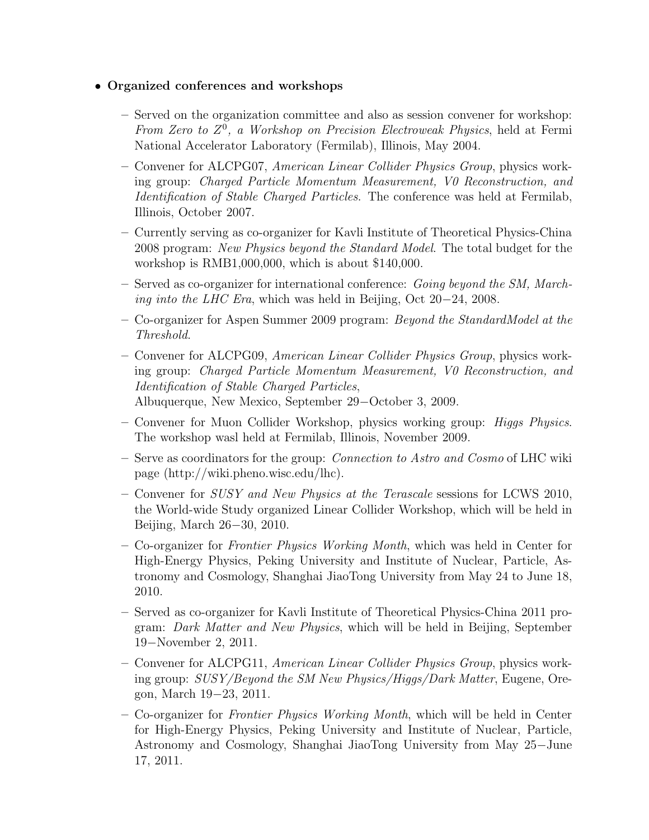#### • Organized conferences and workshops

- Served on the organization committee and also as session convener for workshop: From Zero to  $Z^0$ , a Workshop on Precision Electroweak Physics, held at Fermi National Accelerator Laboratory (Fermilab), Illinois, May 2004.
- Convener for ALCPG07, *American Linear Collider Physics Group*, physics working group: *Charged Particle Momentum Measurement, V0 Reconstruction, and Identification of Stable Charged Particles*. The conference was held at Fermilab, Illinois, October 2007.
- Currently serving as co-organizer for Kavli Institute of Theoretical Physics-China 2008 program: *New Physics beyond the Standard Model*. The total budget for the workshop is RMB1,000,000, which is about \$140,000.
- Served as co-organizer for international conference: *Going beyond the SM, Marching into the LHC Era*, which was held in Beijing, Oct 20−24, 2008.
- Co-organizer for Aspen Summer 2009 program: *Beyond the StandardModel at the Threshold*.
- Convener for ALCPG09, *American Linear Collider Physics Group*, physics working group: *Charged Particle Momentum Measurement, V0 Reconstruction, and Identification of Stable Charged Particles*, Albuquerque, New Mexico, September 29−October 3, 2009.
- Convener for Muon Collider Workshop, physics working group: *Higgs Physics*. The workshop wasl held at Fermilab, Illinois, November 2009.
- Serve as coordinators for the group: *Connection to Astro and Cosmo* of LHC wiki page (http://wiki.pheno.wisc.edu/lhc).
- Convener for *SUSY and New Physics at the Terascale* sessions for LCWS 2010, the World-wide Study organized Linear Collider Workshop, which will be held in Beijing, March 26−30, 2010.
- Co-organizer for *Frontier Physics Working Month*, which was held in Center for High-Energy Physics, Peking University and Institute of Nuclear, Particle, Astronomy and Cosmology, Shanghai JiaoTong University from May 24 to June 18, 2010.
- Served as co-organizer for Kavli Institute of Theoretical Physics-China 2011 program: *Dark Matter and New Physics*, which will be held in Beijing, September 19−November 2, 2011.
- Convener for ALCPG11, *American Linear Collider Physics Group*, physics working group: *SUSY/Beyond the SM New Physics/Higgs/Dark Matter*, Eugene, Oregon, March 19−23, 2011.
- Co-organizer for *Frontier Physics Working Month*, which will be held in Center for High-Energy Physics, Peking University and Institute of Nuclear, Particle, Astronomy and Cosmology, Shanghai JiaoTong University from May 25−June 17, 2011.